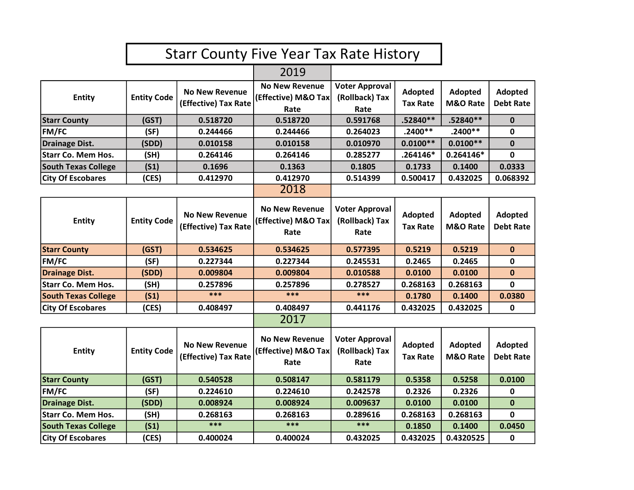|                            | <b>Starr County Five Year Tax Rate History</b> |                                               |                                                      |                                                 |                            |                                |                             |
|----------------------------|------------------------------------------------|-----------------------------------------------|------------------------------------------------------|-------------------------------------------------|----------------------------|--------------------------------|-----------------------------|
|                            |                                                |                                               | 2019                                                 |                                                 |                            |                                |                             |
| <b>Entity</b>              | <b>Entity Code</b>                             | <b>No New Revenue</b><br>(Effective) Tax Rate | <b>No New Revenue</b><br>(Effective) M&O Tax<br>Rate | <b>Voter Approval</b><br>(Rollback) Tax<br>Rate | Adopted<br><b>Tax Rate</b> | Adopted<br>M&O Rate            | Adopted<br><b>Debt Rate</b> |
| <b>Starr County</b>        | (GST)                                          | 0.518720                                      | 0.518720                                             | 0.591768                                        | .52840 **                  | .52840 **                      | $\mathbf 0$                 |
| FM/FC                      | (SF)                                           | 0.244466                                      | 0.244466                                             | 0.264023                                        | $.2400**$                  | $.2400**$                      | 0                           |
| <b>Drainage Dist.</b>      | (SDD)                                          | 0.010158                                      | 0.010158                                             | 0.010970                                        | $0.0100**$                 | $0.0100**$                     | $\mathbf{0}$                |
| <b>Starr Co. Mem Hos.</b>  | (SH)                                           | 0.264146                                      | 0.264146                                             | 0.285277                                        | $.264146*$                 | 0.264146*                      | $\mathbf{0}$                |
| <b>South Texas College</b> | (S1)                                           | 0.1696                                        | 0.1363                                               | 0.1805                                          | 0.1733                     | 0.1400                         | 0.0333                      |
| <b>City Of Escobares</b>   | (CES)                                          | 0.412970                                      | 0.412970                                             | 0.514399                                        | 0.500417                   | 0.432025                       | 0.068392                    |
|                            |                                                |                                               | 2018                                                 |                                                 |                            |                                |                             |
| <b>Entity</b>              | <b>Entity Code</b>                             | <b>No New Revenue</b><br>(Effective) Tax Rate | <b>No New Revenue</b><br>(Effective) M&O Tax<br>Rate | <b>Voter Approval</b><br>(Rollback) Tax<br>Rate | Adopted<br><b>Tax Rate</b> | Adopted<br><b>M&amp;O Rate</b> | Adopted<br><b>Debt Rate</b> |
| <b>Starr County</b>        | (GST)                                          | 0.534625                                      | 0.534625                                             | 0.577395                                        | 0.5219                     | 0.5219                         | $\mathbf 0$                 |
| FM/FC                      | (SF)                                           | 0.227344                                      | 0.227344                                             | 0.245531                                        | 0.2465                     | 0.2465                         | 0                           |
| <b>Drainage Dist.</b>      | (SDD)                                          | 0.009804                                      | 0.009804                                             | 0.010588                                        | 0.0100                     | 0.0100                         | $\mathbf{0}$                |
| <b>Starr Co. Mem Hos.</b>  | (SH)                                           | 0.257896                                      | 0.257896                                             | 0.278527                                        | 0.268163                   | 0.268163                       | 0                           |
| <b>South Texas College</b> | (S1)                                           | ***                                           | ***                                                  | ***                                             | 0.1780                     | 0.1400                         | 0.0380                      |
| <b>City Of Escobares</b>   | (CES)                                          | 0.408497                                      | 0.408497                                             | 0.441176                                        | 0.432025                   | 0.432025                       | 0                           |
|                            |                                                |                                               | 2017                                                 |                                                 |                            |                                |                             |
| <b>Entity</b>              | <b>Entity Code</b>                             | <b>No New Revenue</b><br>(Effective) Tax Rate | <b>No New Revenue</b><br>(Effective) M&O Tax<br>Rate | <b>Voter Approval</b><br>(Rollback) Tax<br>Rate | Adopted<br><b>Tax Rate</b> | Adopted<br>M&O Rate            | Adopted<br><b>Debt Rate</b> |
| <b>Starr County</b>        | (GST)                                          | 0.540528                                      | 0.508147                                             | 0.581179                                        | 0.5358                     | 0.5258                         | 0.0100                      |
| FM/FC                      | (SF)                                           | 0.224610                                      | 0.224610                                             | 0.242578                                        | 0.2326                     | 0.2326                         | 0                           |
| <b>Drainage Dist.</b>      | (SDD)                                          | 0.008924                                      | 0.008924                                             | 0.009637                                        | 0.0100                     | 0.0100                         | $\mathbf 0$                 |
| <b>Starr Co. Mem Hos.</b>  | (SH)                                           | 0.268163                                      | 0.268163                                             | 0.289616                                        | 0.268163                   | 0.268163                       | 0                           |
| <b>South Texas College</b> | (S1)                                           | ***                                           | ***                                                  | ***                                             | 0.1850                     | 0.1400                         | 0.0450                      |
| <b>City Of Escobares</b>   | (CES)                                          | 0.400024                                      | 0.400024                                             | 0.432025                                        | 0.432025                   | 0.4320525                      | 0                           |